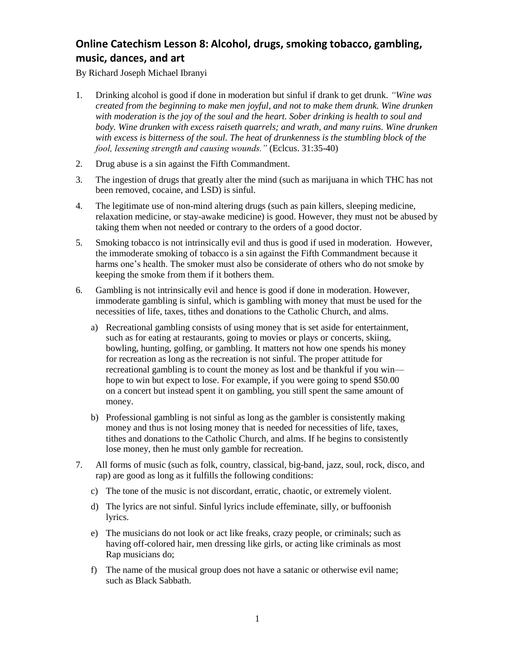## **Online Catechism Lesson 8: Alcohol, drugs, smoking tobacco, gambling, music, dances, and art**

By Richard Joseph Michael Ibranyi

- 1. Drinking alcohol is good if done in moderation but sinful if drank to get drunk. *"Wine was created from the beginning to make men joyful, and not to make them drunk. Wine drunken with moderation is the joy of the soul and the heart. Sober drinking is health to soul and body. Wine drunken with excess raiseth quarrels; and wrath, and many ruins. Wine drunken with excess is bitterness of the soul. The heat of drunkenness is the stumbling block of the fool, lessening strength and causing wounds."* (Eclcus. 31:35-40)
- 2. Drug abuse is a sin against the Fifth Commandment.
- 3. The ingestion of drugs that greatly alter the mind (such as marijuana in which THC has not been removed, cocaine, and LSD) is sinful.
- 4. The legitimate use of non-mind altering drugs (such as pain killers, sleeping medicine, relaxation medicine, or stay-awake medicine) is good. However, they must not be abused by taking them when not needed or contrary to the orders of a good doctor.
- 5. Smoking tobacco is not intrinsically evil and thus is good if used in moderation. However, the immoderate smoking of tobacco is a sin against the Fifth Commandment because it harms one's health. The smoker must also be considerate of others who do not smoke by keeping the smoke from them if it bothers them.
- 6. Gambling is not intrinsically evil and hence is good if done in moderation. However, immoderate gambling is sinful, which is gambling with money that must be used for the necessities of life, taxes, tithes and donations to the Catholic Church, and alms.
	- a) Recreational gambling consists of using money that is set aside for entertainment, such as for eating at restaurants, going to movies or plays or concerts, skiing, bowling, hunting, golfing, or gambling. It matters not how one spends his money for recreation as long as the recreation is not sinful. The proper attitude for recreational gambling is to count the money as lost and be thankful if you win hope to win but expect to lose. For example, if you were going to spend \$50.00 on a concert but instead spent it on gambling, you still spent the same amount of money.
	- b) Professional gambling is not sinful as long as the gambler is consistently making money and thus is not losing money that is needed for necessities of life, taxes, tithes and donations to the Catholic Church, and alms. If he begins to consistently lose money, then he must only gamble for recreation.
- 7. All forms of music (such as folk, country, classical, big-band, jazz, soul, rock, disco, and rap) are good as long as it fulfills the following conditions:
	- c) The tone of the music is not discordant, erratic, chaotic, or extremely violent.
	- d) The lyrics are not sinful. Sinful lyrics include effeminate, silly, or buffoonish lyrics.
	- e) The musicians do not look or act like freaks, crazy people, or criminals; such as having off-colored hair, men dressing like girls, or acting like criminals as most Rap musicians do;
	- f) The name of the musical group does not have a satanic or otherwise evil name; such as Black Sabbath.